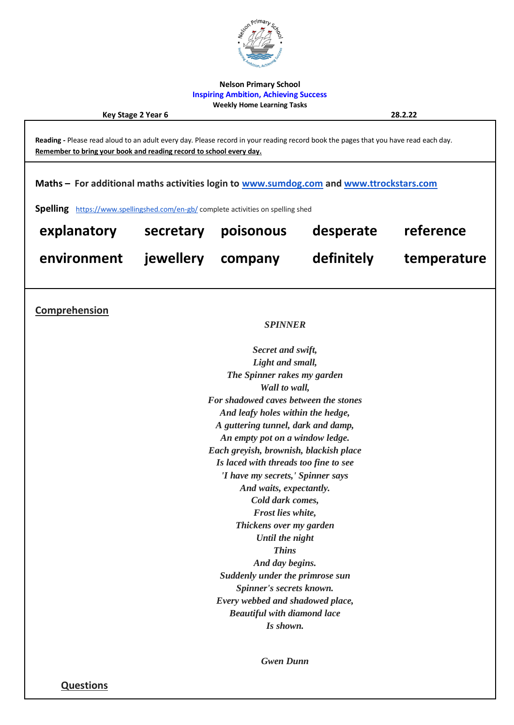

**Nelson Primary School Inspiring Ambition, Achieving Success Weekly Home Learning Tasks**

**Key Stage 2 Year 6 28.2.22**

**Reading -** Please read aloud to an adult every day. Please record in your reading record book the pages that you have read each day. **Remember to bring your book and reading record to school every day. Maths – For additional maths activities login to [www.sumdog.com](http://www.sumdog.com/) and [www.ttrockstars.com](http://www.ttrockstars.com/) Spelling** <https://www.spellingshed.com/en-gb/> complete activities on spelling shed **explanatory secretary poisonous desperate reference environment jewellery company definitely temperature Comprehension**  *SPINNER Secret and swift, Light and small, The Spinner rakes my garden Wall to wall, For shadowed caves between the stones And leafy holes within the hedge, A guttering tunnel, dark and damp, An empty pot on a window ledge. Each greyish, brownish, blackish place Is laced with threads too fine to see 'I have my secrets,' Spinner says And waits, expectantly. Cold dark comes, Frost lies white, Thickens over my garden Until the night Thins And day begins. Suddenly under the primrose sun Spinner's secrets known. Every webbed and shadowed place, Beautiful with diamond lace Is shown. Gwen Dunn*

**Questions**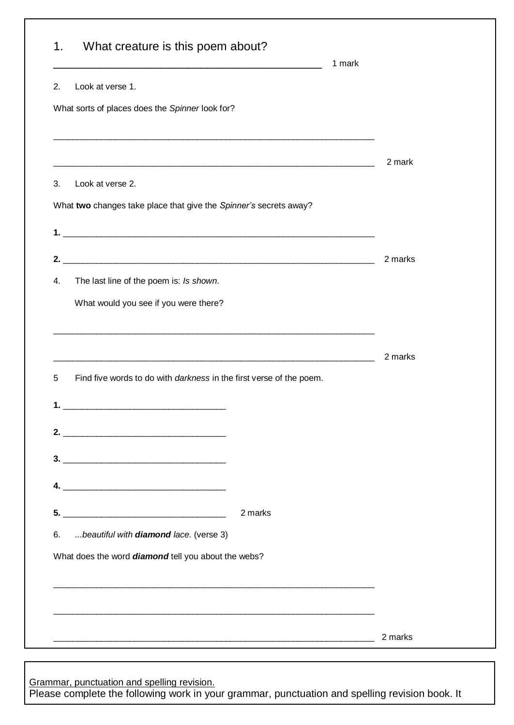| What creature is this poem about?<br>1.                                                                               | 1 mark  |
|-----------------------------------------------------------------------------------------------------------------------|---------|
| Look at verse 1.<br>2.                                                                                                |         |
| What sorts of places does the Spinner look for?                                                                       |         |
| <u> 1989 - Johann Stoff, deutscher Stoff, der Stoff, der Stoff, der Stoff, der Stoff, der Stoff, der Stoff, der S</u> |         |
| <u> 2000 - Andrea Andrew Maria (h. 1888).</u>                                                                         | 2 mark  |
| 3.<br>Look at verse 2.                                                                                                |         |
| What two changes take place that give the Spinner's secrets away?                                                     |         |
|                                                                                                                       |         |
|                                                                                                                       | 2 marks |
| The last line of the poem is: Is shown.<br>4.                                                                         |         |
| What would you see if you were there?                                                                                 |         |
| <u> 1989 - Johann John Stone, mensk politik (f. 1989)</u>                                                             |         |
|                                                                                                                       | 2 marks |
| Find five words to do with <i>darkness</i> in the first verse of the poem.<br>5                                       |         |
| <u> 1989 - Jan James James Barnett, fransk politik (d. 1989)</u><br>1.                                                |         |
| 2. $\overbrace{\hspace{2.5cm}}$                                                                                       |         |
|                                                                                                                       |         |
|                                                                                                                       |         |
|                                                                                                                       |         |
|                                                                                                                       |         |
| $5.$ $\overline{\phantom{a}}$<br>2 marks                                                                              |         |
| beautiful with diamond lace. (verse 3)<br>6.                                                                          |         |
| What does the word diamond tell you about the webs?                                                                   |         |
|                                                                                                                       |         |
|                                                                                                                       |         |

Grammar, punctuation and spelling revision. Please complete the following work in your grammar, punctuation and spelling revision book. It